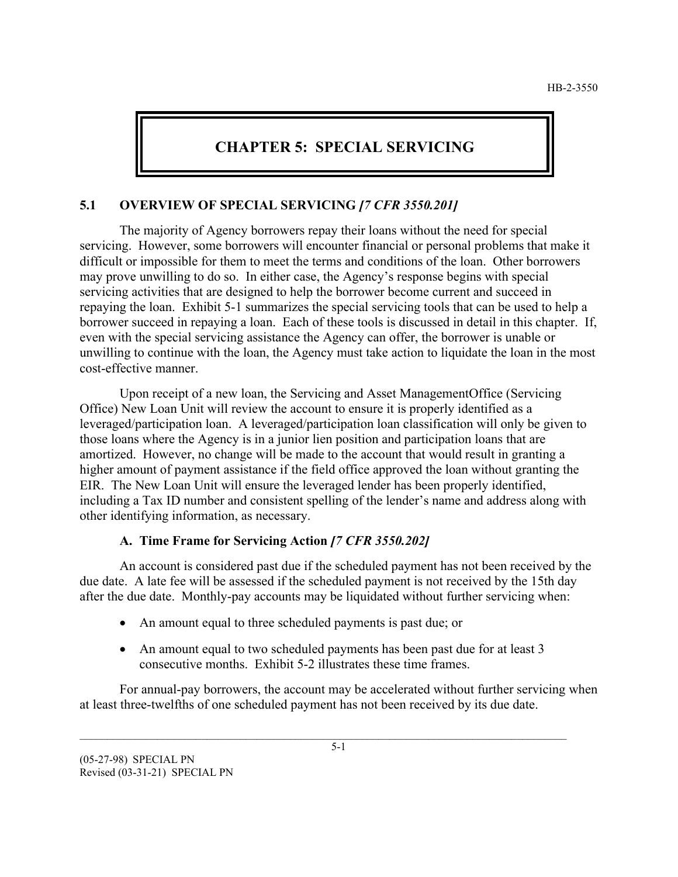# **CHAPTER 5: SPECIAL SERVICING**

## **5.1 OVERVIEW OF SPECIAL SERVICING** *[7 CFR 3550.201]*

The majority of Agency borrowers repay their loans without the need for special servicing. However, some borrowers will encounter financial or personal problems that make it difficult or impossible for them to meet the terms and conditions of the loan. Other borrowers may prove unwilling to do so. In either case, the Agency's response begins with special servicing activities that are designed to help the borrower become current and succeed in repaying the loan. Exhibit 5-1 summarizes the special servicing tools that can be used to help a borrower succeed in repaying a loan. Each of these tools is discussed in detail in this chapter. If, even with the special servicing assistance the Agency can offer, the borrower is unable or unwilling to continue with the loan, the Agency must take action to liquidate the loan in the most cost-effective manner.

Upon receipt of a new loan, the Servicing and Asset ManagementOffice (Servicing Office) New Loan Unit will review the account to ensure it is properly identified as a leveraged/participation loan. A leveraged/participation loan classification will only be given to those loans where the Agency is in a junior lien position and participation loans that are amortized. However, no change will be made to the account that would result in granting a higher amount of payment assistance if the field office approved the loan without granting the EIR. The New Loan Unit will ensure the leveraged lender has been properly identified, including a Tax ID number and consistent spelling of the lender's name and address along with other identifying information, as necessary.

## **A. Time Frame for Servicing Action** *[7 CFR 3550.202]*

An account is considered past due if the scheduled payment has not been received by the due date. A late fee will be assessed if the scheduled payment is not received by the 15th day after the due date. Monthly-pay accounts may be liquidated without further servicing when:

- An amount equal to three scheduled payments is past due; or
- An amount equal to two scheduled payments has been past due for at least 3 consecutive months. Exhibit 5-2 illustrates these time frames.

For annual-pay borrowers, the account may be accelerated without further servicing when at least three-twelfths of one scheduled payment has not been received by its due date.

\_\_\_\_\_\_\_\_\_\_\_\_\_\_\_\_\_\_\_\_\_\_\_\_\_\_\_\_\_\_\_\_\_\_\_\_\_\_\_\_\_\_\_\_\_\_\_\_\_\_\_\_\_\_\_\_\_\_\_\_\_\_\_\_\_\_\_\_\_\_\_\_\_\_\_\_\_\_\_\_\_\_\_\_\_\_\_\_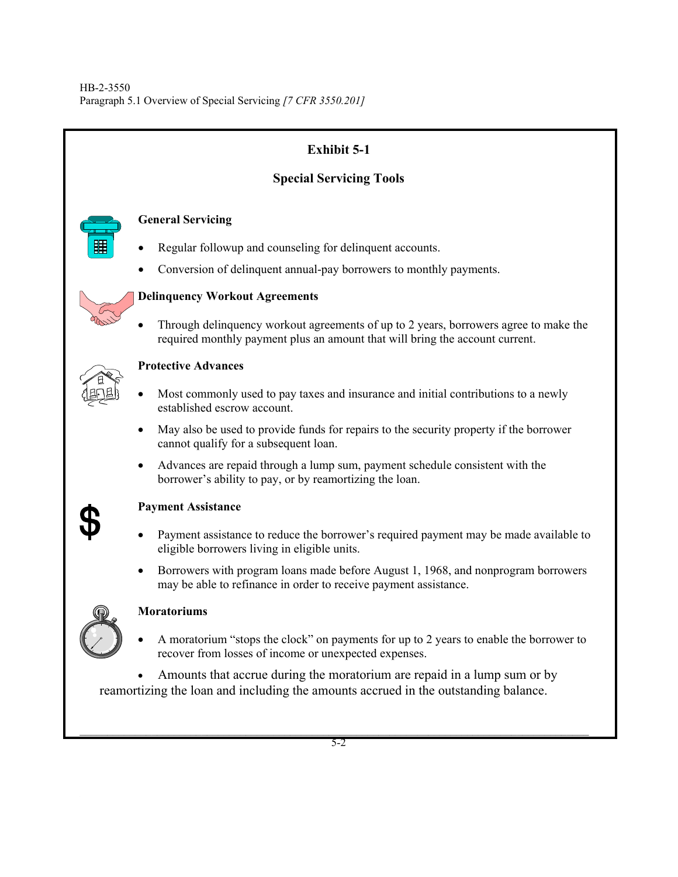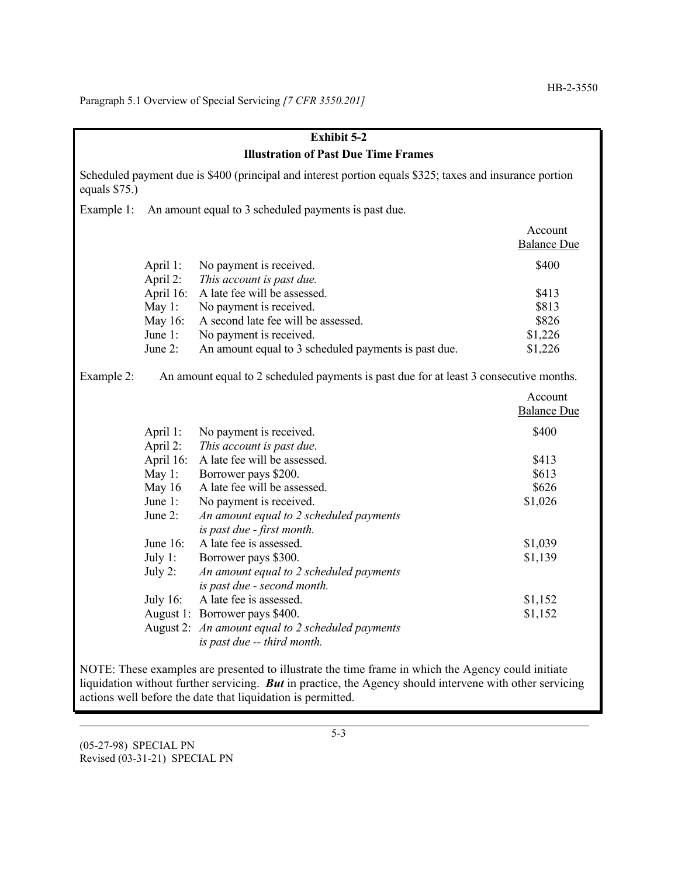Paragraph 5.1 Overview of Special Servicing *[7 CFR 3550.201]*

| <b>Exhibit 5-2</b>                                                                                                                                                                                             |                                                                                        |                                                                        |                               |
|----------------------------------------------------------------------------------------------------------------------------------------------------------------------------------------------------------------|----------------------------------------------------------------------------------------|------------------------------------------------------------------------|-------------------------------|
| <b>Illustration of Past Due Time Frames</b>                                                                                                                                                                    |                                                                                        |                                                                        |                               |
| Scheduled payment due is \$400 (principal and interest portion equals \$325; taxes and insurance portion<br>equals \$75.)                                                                                      |                                                                                        |                                                                        |                               |
| Example 1:                                                                                                                                                                                                     | An amount equal to 3 scheduled payments is past due.                                   |                                                                        |                               |
|                                                                                                                                                                                                                |                                                                                        |                                                                        | Account<br><b>Balance Due</b> |
|                                                                                                                                                                                                                | April 1:                                                                               | No payment is received.                                                | \$400                         |
|                                                                                                                                                                                                                | April 2:                                                                               | This account is past due.                                              |                               |
|                                                                                                                                                                                                                | April 16:                                                                              | A late fee will be assessed.                                           | \$413                         |
|                                                                                                                                                                                                                | May 1:                                                                                 | No payment is received.                                                | \$813                         |
|                                                                                                                                                                                                                | May 16:                                                                                | A second late fee will be assessed.                                    | \$826                         |
|                                                                                                                                                                                                                | June 1:                                                                                | No payment is received.                                                | \$1,226                       |
|                                                                                                                                                                                                                | June 2:                                                                                | An amount equal to 3 scheduled payments is past due.                   | \$1,226                       |
| Example 2:                                                                                                                                                                                                     | An amount equal to 2 scheduled payments is past due for at least 3 consecutive months. |                                                                        |                               |
|                                                                                                                                                                                                                |                                                                                        |                                                                        | Account                       |
|                                                                                                                                                                                                                |                                                                                        |                                                                        | <b>Balance Due</b>            |
|                                                                                                                                                                                                                | April 1:                                                                               | No payment is received.                                                | \$400                         |
|                                                                                                                                                                                                                | April 2:                                                                               | This account is past due.                                              |                               |
|                                                                                                                                                                                                                | April 16:                                                                              | A late fee will be assessed.                                           | \$413                         |
|                                                                                                                                                                                                                | May 1:                                                                                 | Borrower pays \$200.                                                   | \$613                         |
|                                                                                                                                                                                                                | May 16                                                                                 | A late fee will be assessed.                                           | \$626                         |
|                                                                                                                                                                                                                | June 1:                                                                                | No payment is received.                                                | \$1,026                       |
|                                                                                                                                                                                                                | June 2:                                                                                | An amount equal to 2 scheduled payments<br>is past due - first month.  |                               |
|                                                                                                                                                                                                                | June 16:                                                                               | A late fee is assessed.                                                | \$1,039                       |
|                                                                                                                                                                                                                | July $1$ :                                                                             | Borrower pays \$300.                                                   | \$1,139                       |
|                                                                                                                                                                                                                | July 2:                                                                                | An amount equal to 2 scheduled payments<br>is past due - second month. |                               |
|                                                                                                                                                                                                                | July $16$ :                                                                            | A late fee is assessed.                                                | \$1,152                       |
|                                                                                                                                                                                                                |                                                                                        | August 1: Borrower pays \$400.                                         | \$1,152                       |
|                                                                                                                                                                                                                |                                                                                        | August 2: An amount equal to 2 scheduled payments                      |                               |
|                                                                                                                                                                                                                |                                                                                        | is past due -- third month.                                            |                               |
| NOTE: These examples are presented to illustrate the time frame in which the Agency could initiate<br>liquidation without further servicing. But in practice, the Agency should intervene with other servicing |                                                                                        |                                                                        |                               |

(05-27-98) SPECIAL PN Revised (03-31-21) SPECIAL PN

actions well before the date that liquidation is permitted.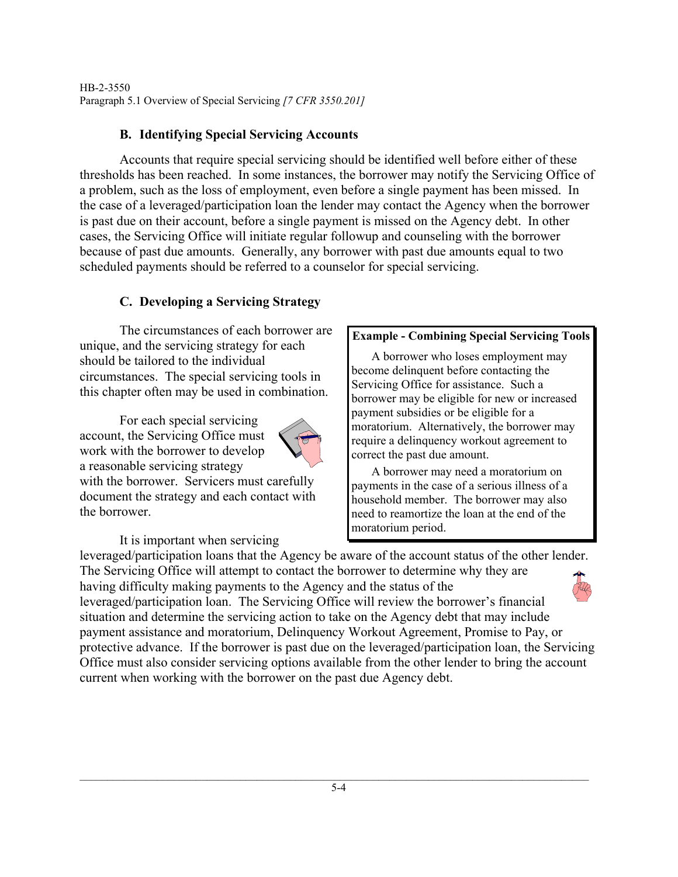HB-2-3550 Paragraph 5.1 Overview of Special Servicing *[7 CFR 3550.201]*

## **B. Identifying Special Servicing Accounts**

Accounts that require special servicing should be identified well before either of these thresholds has been reached. In some instances, the borrower may notify the Servicing Office of a problem, such as the loss of employment, even before a single payment has been missed. In the case of a leveraged/participation loan the lender may contact the Agency when the borrower is past due on their account, before a single payment is missed on the Agency debt. In other cases, the Servicing Office will initiate regular followup and counseling with the borrower because of past due amounts. Generally, any borrower with past due amounts equal to two scheduled payments should be referred to a counselor for special servicing.

## **C. Developing a Servicing Strategy**

The circumstances of each borrower are unique, and the servicing strategy for each should be tailored to the individual circumstances. The special servicing tools in this chapter often may be used in combination.

For each special servicing account, the Servicing Office must work with the borrower to develop a reasonable servicing strategy



with the borrower. Servicers must carefully document the strategy and each contact with the borrower.

It is important when servicing

## **Example - Combining Special Servicing Tools**

A borrower who loses employment may become delinquent before contacting the Servicing Office for assistance. Such a borrower may be eligible for new or increased payment subsidies or be eligible for a moratorium. Alternatively, the borrower may require a delinquency workout agreement to correct the past due amount.

A borrower may need a moratorium on payments in the case of a serious illness of a household member. The borrower may also need to reamortize the loan at the end of the moratorium period.

leveraged/participation loans that the Agency be aware of the account status of the other lender. The Servicing Office will attempt to contact the borrower to determine why they are having difficulty making payments to the Agency and the status of the leveraged/participation loan. The Servicing Office will review the borrower's financial situation and determine the servicing action to take on the Agency debt that may include payment assistance and moratorium, Delinquency Workout Agreement, Promise to Pay, or protective advance. If the borrower is past due on the leveraged/participation loan, the Servicing Office must also consider servicing options available from the other lender to bring the account current when working with the borrower on the past due Agency debt.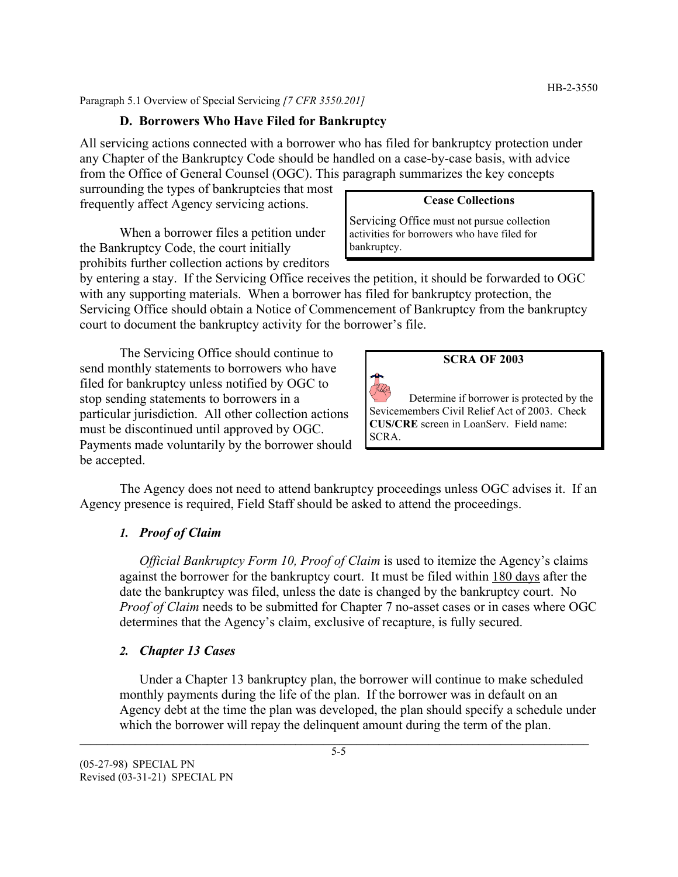Paragraph 5.1 Overview of Special Servicing *[7 CFR 3550.201]*

#### **D. Borrowers Who Have Filed for Bankruptcy**

All servicing actions connected with a borrower who has filed for bankruptcy protection under any Chapter of the Bankruptcy Code should be handled on a case-by-case basis, with advice from the Office of General Counsel (OGC). This paragraph summarizes the key concepts

surrounding the types of bankruptcies that most frequently affect Agency servicing actions.

When a borrower files a petition under the Bankruptcy Code, the court initially prohibits further collection actions by creditors

#### **Cease Collections**

Servicing Office must not pursue collection activities for borrowers who have filed for bankruptcy.

by entering a stay. If the Servicing Office receives the petition, it should be forwarded to OGC with any supporting materials. When a borrower has filed for bankruptcy protection, the Servicing Office should obtain a Notice of Commencement of Bankruptcy from the bankruptcy court to document the bankruptcy activity for the borrower's file.

The Servicing Office should continue to send monthly statements to borrowers who have filed for bankruptcy unless notified by OGC to stop sending statements to borrowers in a particular jurisdiction. All other collection actions must be discontinued until approved by OGC. Payments made voluntarily by the borrower should be accepted.

#### **SCRA OF 2003**

Determine if borrower is protected by the Sevicemembers Civil Relief Act of 2003. Check **CUS/CRE** screen in LoanServ. Field name: SCRA.

The Agency does not need to attend bankruptcy proceedings unless OGC advises it. If an Agency presence is required, Field Staff should be asked to attend the proceedings.

#### *1. Proof of Claim*

*Official Bankruptcy Form 10, Proof of Claim* is used to itemize the Agency's claims against the borrower for the bankruptcy court. It must be filed within 180 days after the date the bankruptcy was filed, unless the date is changed by the bankruptcy court. No *Proof of Claim* needs to be submitted for Chapter 7 no-asset cases or in cases where OGC determines that the Agency's claim, exclusive of recapture, is fully secured.

#### *2. Chapter 13 Cases*

Under a Chapter 13 bankruptcy plan, the borrower will continue to make scheduled monthly payments during the life of the plan. If the borrower was in default on an Agency debt at the time the plan was developed, the plan should specify a schedule under which the borrower will repay the delinquent amount during the term of the plan.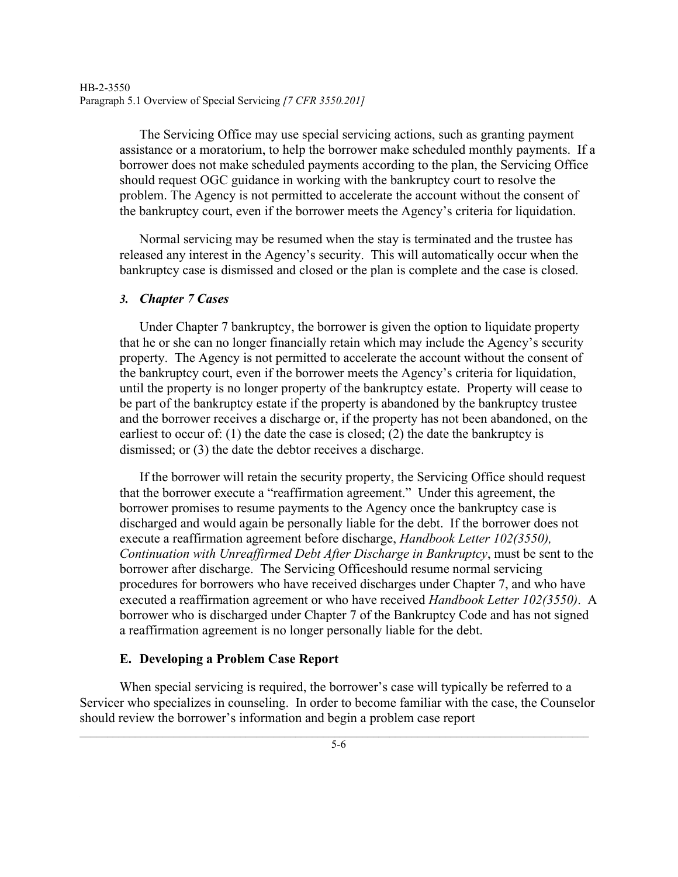The Servicing Office may use special servicing actions, such as granting payment assistance or a moratorium, to help the borrower make scheduled monthly payments. If a borrower does not make scheduled payments according to the plan, the Servicing Office should request OGC guidance in working with the bankruptcy court to resolve the problem. The Agency is not permitted to accelerate the account without the consent of the bankruptcy court, even if the borrower meets the Agency's criteria for liquidation.

Normal servicing may be resumed when the stay is terminated and the trustee has released any interest in the Agency's security. This will automatically occur when the bankruptcy case is dismissed and closed or the plan is complete and the case is closed.

#### *3. Chapter 7 Cases*

Under Chapter 7 bankruptcy, the borrower is given the option to liquidate property that he or she can no longer financially retain which may include the Agency's security property. The Agency is not permitted to accelerate the account without the consent of the bankruptcy court, even if the borrower meets the Agency's criteria for liquidation, until the property is no longer property of the bankruptcy estate. Property will cease to be part of the bankruptcy estate if the property is abandoned by the bankruptcy trustee and the borrower receives a discharge or, if the property has not been abandoned, on the earliest to occur of: (1) the date the case is closed; (2) the date the bankruptcy is dismissed; or (3) the date the debtor receives a discharge.

If the borrower will retain the security property, the Servicing Office should request that the borrower execute a "reaffirmation agreement." Under this agreement, the borrower promises to resume payments to the Agency once the bankruptcy case is discharged and would again be personally liable for the debt. If the borrower does not execute a reaffirmation agreement before discharge, *Handbook Letter 102(3550), Continuation with Unreaffirmed Debt After Discharge in Bankruptcy*, must be sent to the borrower after discharge. The Servicing Officeshould resume normal servicing procedures for borrowers who have received discharges under Chapter 7, and who have executed a reaffirmation agreement or who have received *Handbook Letter 102(3550)*. A borrower who is discharged under Chapter 7 of the Bankruptcy Code and has not signed a reaffirmation agreement is no longer personally liable for the debt.

## **E. Developing a Problem Case Report**

When special servicing is required, the borrower's case will typically be referred to a Servicer who specializes in counseling. In order to become familiar with the case, the Counselor should review the borrower's information and begin a problem case report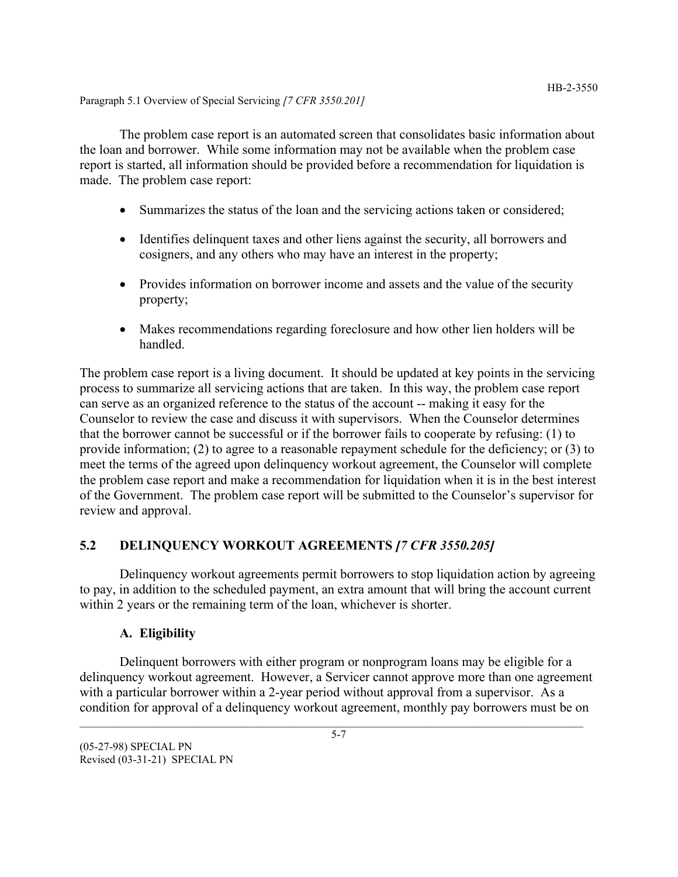#### Paragraph 5.1 Overview of Special Servicing *[7 CFR 3550.201]*

The problem case report is an automated screen that consolidates basic information about the loan and borrower. While some information may not be available when the problem case report is started, all information should be provided before a recommendation for liquidation is made. The problem case report:

- Summarizes the status of the loan and the servicing actions taken or considered;
- Identifies delinquent taxes and other liens against the security, all borrowers and cosigners, and any others who may have an interest in the property;
- Provides information on borrower income and assets and the value of the security property;
- Makes recommendations regarding foreclosure and how other lien holders will be handled.

The problem case report is a living document. It should be updated at key points in the servicing process to summarize all servicing actions that are taken. In this way, the problem case report can serve as an organized reference to the status of the account -- making it easy for the Counselor to review the case and discuss it with supervisors. When the Counselor determines that the borrower cannot be successful or if the borrower fails to cooperate by refusing: (1) to provide information; (2) to agree to a reasonable repayment schedule for the deficiency; or (3) to meet the terms of the agreed upon delinquency workout agreement, the Counselor will complete the problem case report and make a recommendation for liquidation when it is in the best interest of the Government. The problem case report will be submitted to the Counselor's supervisor for review and approval.

## **5.2 DELINQUENCY WORKOUT AGREEMENTS** *[7 CFR 3550.205]*

Delinquency workout agreements permit borrowers to stop liquidation action by agreeing to pay, in addition to the scheduled payment, an extra amount that will bring the account current within 2 years or the remaining term of the loan, whichever is shorter.

## **A. Eligibility**

Delinquent borrowers with either program or nonprogram loans may be eligible for a delinquency workout agreement. However, a Servicer cannot approve more than one agreement with a particular borrower within a 2-year period without approval from a supervisor. As a condition for approval of a delinquency workout agreement, monthly pay borrowers must be on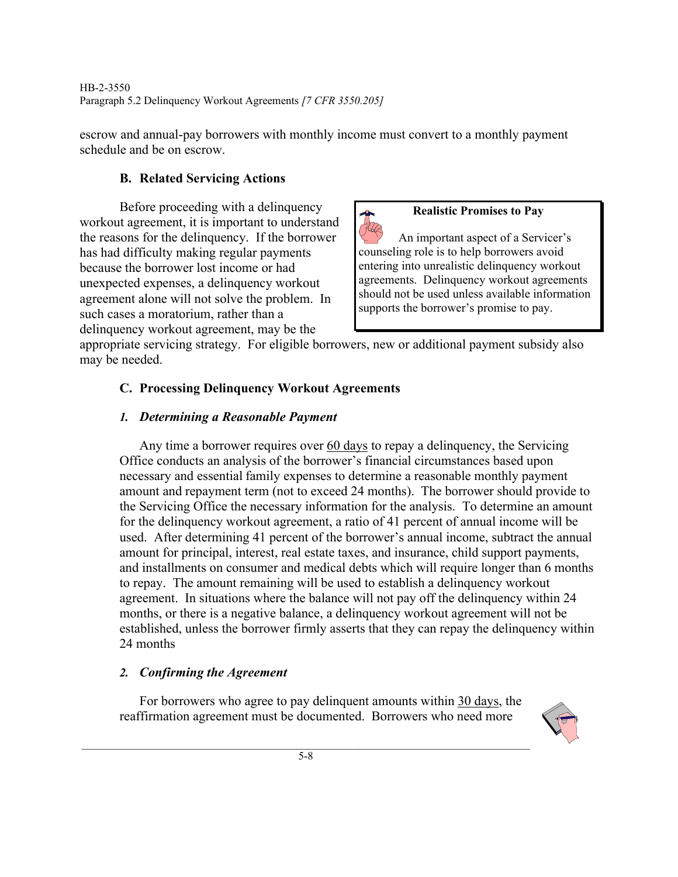escrow and annual-pay borrowers with monthly income must convert to a monthly payment schedule and be on escrow.

# **B. Related Servicing Actions**

Before proceeding with a delinquency workout agreement, it is important to understand the reasons for the delinquency. If the borrower has had difficulty making regular payments because the borrower lost income or had unexpected expenses, a delinquency workout agreement alone will not solve the problem. In such cases a moratorium, rather than a delinquency workout agreement, may be the

## **Realistic Promises to Pay**

An important aspect of a Servicer's counseling role is to help borrowers avoid entering into unrealistic delinquency workout agreements. Delinquency workout agreements should not be used unless available information supports the borrower's promise to pay.

appropriate servicing strategy. For eligible borrowers, new or additional payment subsidy also may be needed.

# **C. Processing Delinquency Workout Agreements**

## *1. Determining a Reasonable Payment*

Any time a borrower requires over 60 days to repay a delinquency, the Servicing Office conducts an analysis of the borrower's financial circumstances based upon necessary and essential family expenses to determine a reasonable monthly payment amount and repayment term (not to exceed 24 months). The borrower should provide to the Servicing Office the necessary information for the analysis. To determine an amount for the delinquency workout agreement, a ratio of 41 percent of annual income will be used. After determining 41 percent of the borrower's annual income, subtract the annual amount for principal, interest, real estate taxes, and insurance, child support payments, and installments on consumer and medical debts which will require longer than 6 months to repay. The amount remaining will be used to establish a delinquency workout agreement. In situations where the balance will not pay off the delinquency within 24 months, or there is a negative balance, a delinquency workout agreement will not be established, unless the borrower firmly asserts that they can repay the delinquency within 24 months

# *2. Confirming the Agreement*

For borrowers who agree to pay delinquent amounts within 30 days, the reaffirmation agreement must be documented. Borrowers who need more

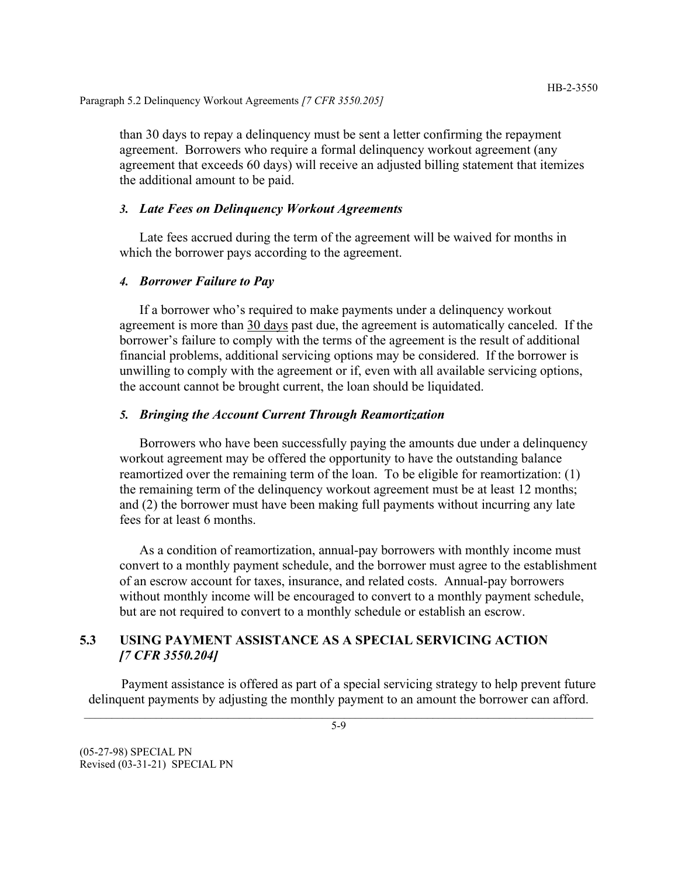than 30 days to repay a delinquency must be sent a letter confirming the repayment agreement. Borrowers who require a formal delinquency workout agreement (any agreement that exceeds 60 days) will receive an adjusted billing statement that itemizes the additional amount to be paid.

#### *3. Late Fees on Delinquency Workout Agreements*

Late fees accrued during the term of the agreement will be waived for months in which the borrower pays according to the agreement.

#### *4. Borrower Failure to Pay*

If a borrower who's required to make payments under a delinquency workout agreement is more than 30 days past due, the agreement is automatically canceled. If the borrower's failure to comply with the terms of the agreement is the result of additional financial problems, additional servicing options may be considered. If the borrower is unwilling to comply with the agreement or if, even with all available servicing options, the account cannot be brought current, the loan should be liquidated.

#### *5. Bringing the Account Current Through Reamortization*

Borrowers who have been successfully paying the amounts due under a delinquency workout agreement may be offered the opportunity to have the outstanding balance reamortized over the remaining term of the loan. To be eligible for reamortization: (1) the remaining term of the delinquency workout agreement must be at least 12 months; and (2) the borrower must have been making full payments without incurring any late fees for at least 6 months.

As a condition of reamortization, annual-pay borrowers with monthly income must convert to a monthly payment schedule, and the borrower must agree to the establishment of an escrow account for taxes, insurance, and related costs. Annual-pay borrowers without monthly income will be encouraged to convert to a monthly payment schedule, but are not required to convert to a monthly schedule or establish an escrow.

#### **5.3 USING PAYMENT ASSISTANCE AS A SPECIAL SERVICING ACTION** *[7 CFR 3550.204]*

Payment assistance is offered as part of a special servicing strategy to help prevent future delinquent payments by adjusting the monthly payment to an amount the borrower can afford.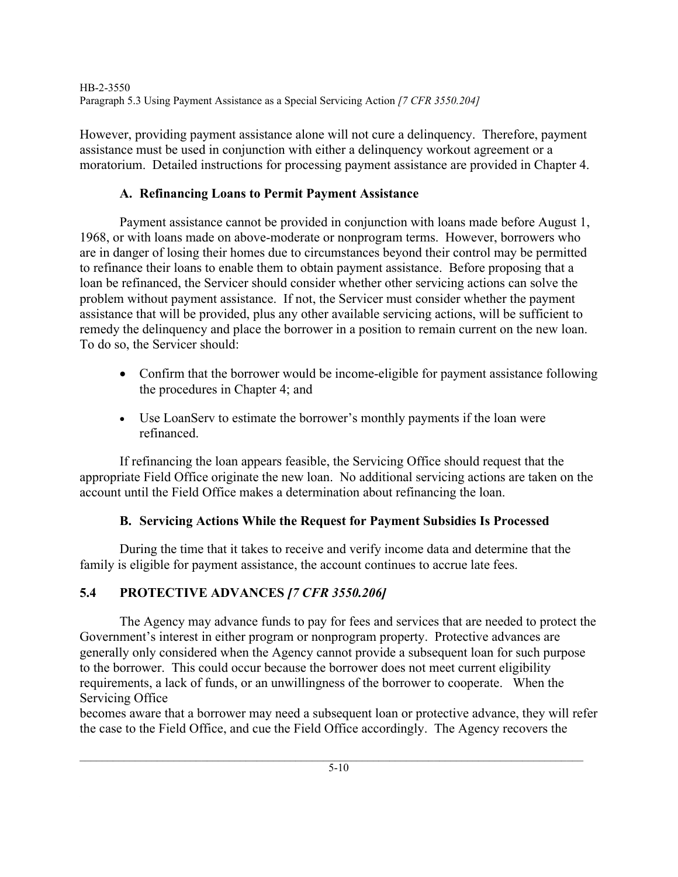HB-2-3550 Paragraph 5.3 Using Payment Assistance as a Special Servicing Action *[7 CFR 3550.204]*

However, providing payment assistance alone will not cure a delinquency. Therefore, payment assistance must be used in conjunction with either a delinquency workout agreement or a moratorium. Detailed instructions for processing payment assistance are provided in Chapter 4.

## **A. Refinancing Loans to Permit Payment Assistance**

Payment assistance cannot be provided in conjunction with loans made before August 1, 1968, or with loans made on above-moderate or nonprogram terms. However, borrowers who are in danger of losing their homes due to circumstances beyond their control may be permitted to refinance their loans to enable them to obtain payment assistance. Before proposing that a loan be refinanced, the Servicer should consider whether other servicing actions can solve the problem without payment assistance. If not, the Servicer must consider whether the payment assistance that will be provided, plus any other available servicing actions, will be sufficient to remedy the delinquency and place the borrower in a position to remain current on the new loan. To do so, the Servicer should:

- Confirm that the borrower would be income-eligible for payment assistance following the procedures in Chapter 4; and
- Use LoanServ to estimate the borrower's monthly payments if the loan were refinanced.

If refinancing the loan appears feasible, the Servicing Office should request that the appropriate Field Office originate the new loan. No additional servicing actions are taken on the account until the Field Office makes a determination about refinancing the loan.

## **B. Servicing Actions While the Request for Payment Subsidies Is Processed**

During the time that it takes to receive and verify income data and determine that the family is eligible for payment assistance, the account continues to accrue late fees.

# **5.4 PROTECTIVE ADVANCES** *[7 CFR 3550.206]*

The Agency may advance funds to pay for fees and services that are needed to protect the Government's interest in either program or nonprogram property. Protective advances are generally only considered when the Agency cannot provide a subsequent loan for such purpose to the borrower. This could occur because the borrower does not meet current eligibility requirements, a lack of funds, or an unwillingness of the borrower to cooperate. When the Servicing Office

becomes aware that a borrower may need a subsequent loan or protective advance, they will refer the case to the Field Office, and cue the Field Office accordingly. The Agency recovers the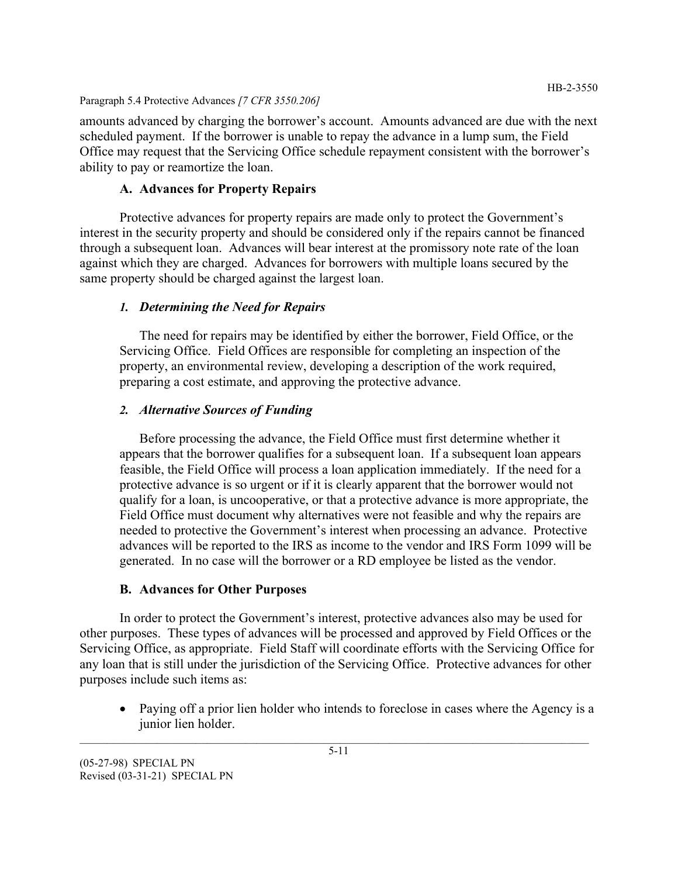#### Paragraph 5.4 Protective Advances *[7 CFR 3550.206]*

amounts advanced by charging the borrower's account. Amounts advanced are due with the next scheduled payment. If the borrower is unable to repay the advance in a lump sum, the Field Office may request that the Servicing Office schedule repayment consistent with the borrower's ability to pay or reamortize the loan.

#### **A. Advances for Property Repairs**

Protective advances for property repairs are made only to protect the Government's interest in the security property and should be considered only if the repairs cannot be financed through a subsequent loan. Advances will bear interest at the promissory note rate of the loan against which they are charged. Advances for borrowers with multiple loans secured by the same property should be charged against the largest loan.

#### *1. Determining the Need for Repairs*

The need for repairs may be identified by either the borrower, Field Office, or the Servicing Office. Field Offices are responsible for completing an inspection of the property, an environmental review, developing a description of the work required, preparing a cost estimate, and approving the protective advance.

#### *2. Alternative Sources of Funding*

Before processing the advance, the Field Office must first determine whether it appears that the borrower qualifies for a subsequent loan. If a subsequent loan appears feasible, the Field Office will process a loan application immediately. If the need for a protective advance is so urgent or if it is clearly apparent that the borrower would not qualify for a loan, is uncooperative, or that a protective advance is more appropriate, the Field Office must document why alternatives were not feasible and why the repairs are needed to protective the Government's interest when processing an advance. Protective advances will be reported to the IRS as income to the vendor and IRS Form 1099 will be generated. In no case will the borrower or a RD employee be listed as the vendor.

#### **B. Advances for Other Purposes**

In order to protect the Government's interest, protective advances also may be used for other purposes. These types of advances will be processed and approved by Field Offices or the Servicing Office, as appropriate. Field Staff will coordinate efforts with the Servicing Office for any loan that is still under the jurisdiction of the Servicing Office. Protective advances for other purposes include such items as:

• Paying off a prior lien holder who intends to foreclose in cases where the Agency is a junior lien holder.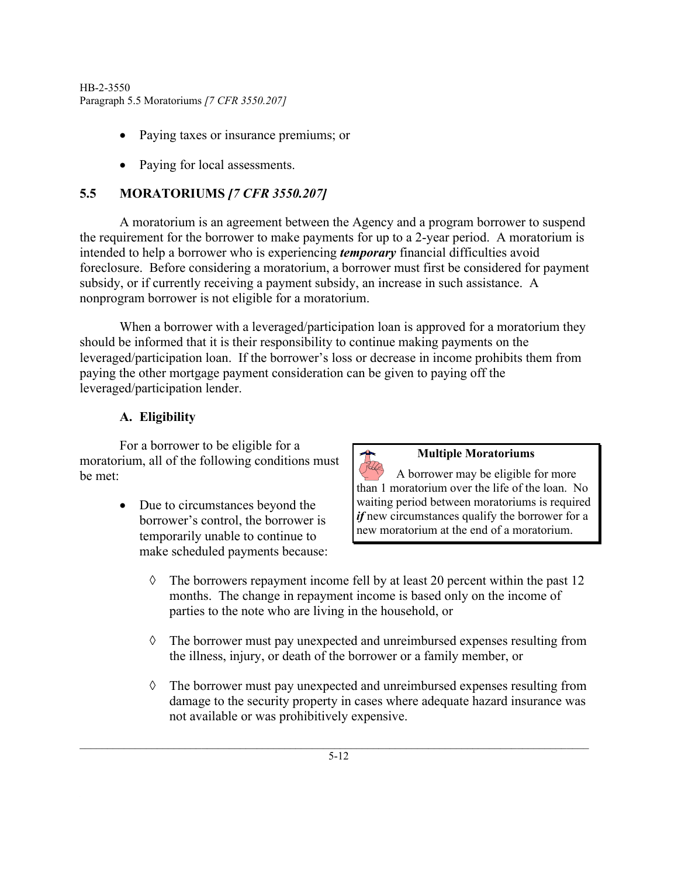- Paying taxes or insurance premiums; or
- Paying for local assessments.

# **5.5 MORATORIUMS** *[7 CFR 3550.207]*

A moratorium is an agreement between the Agency and a program borrower to suspend the requirement for the borrower to make payments for up to a 2-year period. A moratorium is intended to help a borrower who is experiencing *temporary* financial difficulties avoid foreclosure. Before considering a moratorium, a borrower must first be considered for payment subsidy, or if currently receiving a payment subsidy, an increase in such assistance. A nonprogram borrower is not eligible for a moratorium.

When a borrower with a leveraged/participation loan is approved for a moratorium they should be informed that it is their responsibility to continue making payments on the leveraged/participation loan. If the borrower's loss or decrease in income prohibits them from paying the other mortgage payment consideration can be given to paying off the leveraged/participation lender.

## **A. Eligibility**

For a borrower to be eligible for a moratorium, all of the following conditions must be met:

> • Due to circumstances beyond the borrower's control, the borrower is temporarily unable to continue to make scheduled payments because:

#### **Multiple Moratoriums**

A borrower may be eligible for more than 1 moratorium over the life of the loan. No waiting period between moratoriums is required *if* new circumstances qualify the borrower for a new moratorium at the end of a moratorium.

- $\Diamond$  The borrowers repayment income fell by at least 20 percent within the past 12 months. The change in repayment income is based only on the income of parties to the note who are living in the household, or
- ◊ The borrower must pay unexpected and unreimbursed expenses resulting from the illness, injury, or death of the borrower or a family member, or
- ◊ The borrower must pay unexpected and unreimbursed expenses resulting from damage to the security property in cases where adequate hazard insurance was not available or was prohibitively expensive.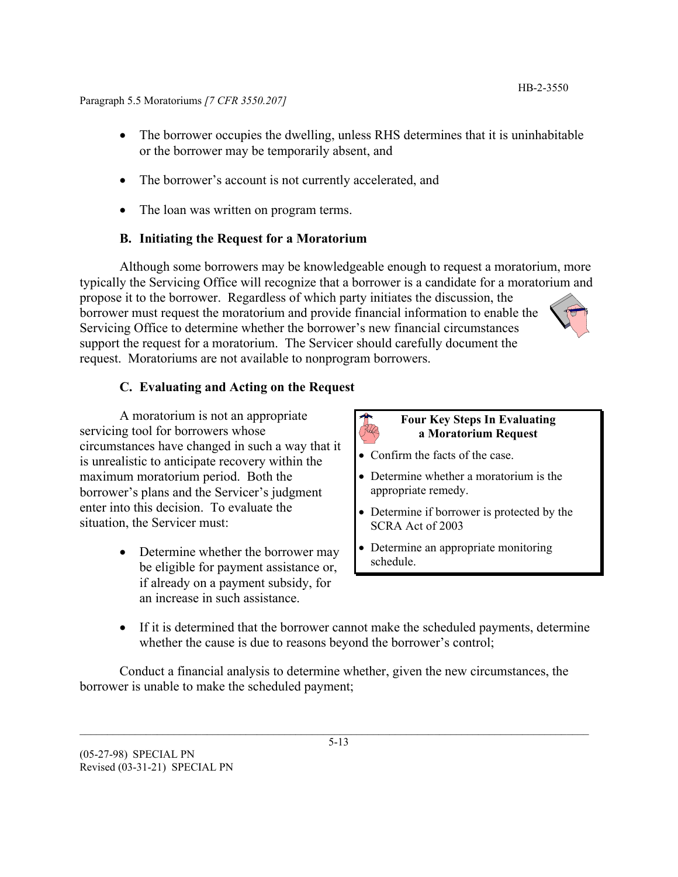- The borrower occupies the dwelling, unless RHS determines that it is uninhabitable or the borrower may be temporarily absent, and
- The borrower's account is not currently accelerated, and
- The loan was written on program terms.

## **B. Initiating the Request for a Moratorium**

Although some borrowers may be knowledgeable enough to request a moratorium, more typically the Servicing Office will recognize that a borrower is a candidate for a moratorium and propose it to the borrower. Regardless of which party initiates the discussion, the borrower must request the moratorium and provide financial information to enable the Servicing Office to determine whether the borrower's new financial circumstances support the request for a moratorium. The Servicer should carefully document the request. Moratoriums are not available to nonprogram borrowers.

## **C. Evaluating and Acting on the Request**

A moratorium is not an appropriate servicing tool for borrowers whose circumstances have changed in such a way that it is unrealistic to anticipate recovery within the maximum moratorium period. Both the borrower's plans and the Servicer's judgment enter into this decision. To evaluate the situation, the Servicer must:

> • Determine whether the borrower may be eligible for payment assistance or, if already on a payment subsidy, for an increase in such assistance.



#### **Four Key Steps In Evaluating a Moratorium Request**

- Confirm the facts of the case.
- Determine whether a moratorium is the appropriate remedy.
- Determine if borrower is protected by the SCRA Act of 2003
- Determine an appropriate monitoring schedule.
- If it is determined that the borrower cannot make the scheduled payments, determine whether the cause is due to reasons beyond the borrower's control;

Conduct a financial analysis to determine whether, given the new circumstances, the borrower is unable to make the scheduled payment;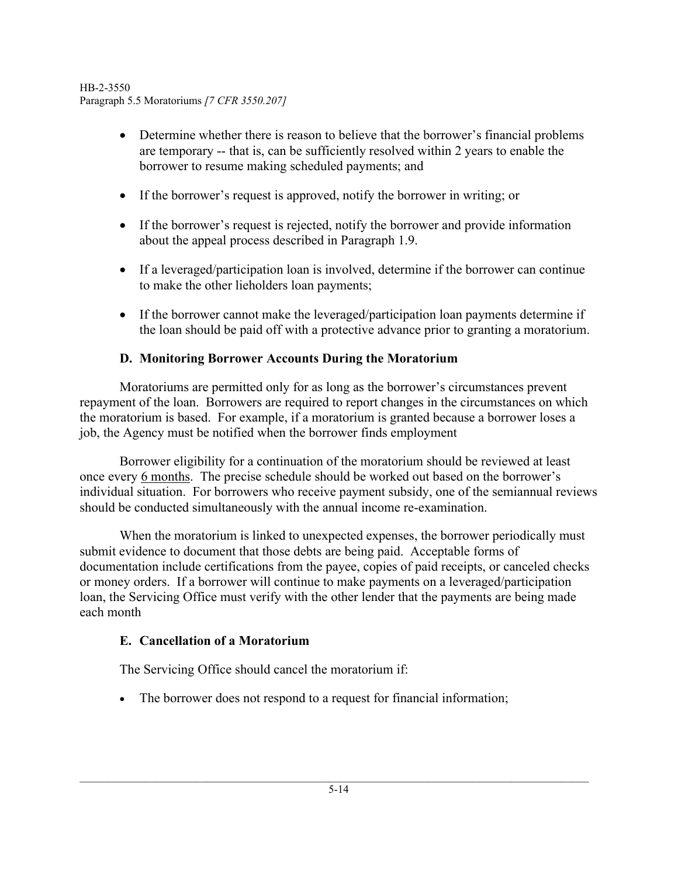- Determine whether there is reason to believe that the borrower's financial problems are temporary -- that is, can be sufficiently resolved within 2 years to enable the borrower to resume making scheduled payments; and
- If the borrower's request is approved, notify the borrower in writing; or
- If the borrower's request is rejected, notify the borrower and provide information about the appeal process described in Paragraph 1.9.
- If a leveraged/participation loan is involved, determine if the borrower can continue to make the other lieholders loan payments;
- If the borrower cannot make the leveraged/participation loan payments determine if the loan should be paid off with a protective advance prior to granting a moratorium.

# **D. Monitoring Borrower Accounts During the Moratorium**

Moratoriums are permitted only for as long as the borrower's circumstances prevent repayment of the loan. Borrowers are required to report changes in the circumstances on which the moratorium is based. For example, if a moratorium is granted because a borrower loses a job, the Agency must be notified when the borrower finds employment

Borrower eligibility for a continuation of the moratorium should be reviewed at least once every 6 months. The precise schedule should be worked out based on the borrower's individual situation. For borrowers who receive payment subsidy, one of the semiannual reviews should be conducted simultaneously with the annual income re-examination.

When the moratorium is linked to unexpected expenses, the borrower periodically must submit evidence to document that those debts are being paid. Acceptable forms of documentation include certifications from the payee, copies of paid receipts, or canceled checks or money orders. If a borrower will continue to make payments on a leveraged/participation loan, the Servicing Office must verify with the other lender that the payments are being made each month

## **E. Cancellation of a Moratorium**

The Servicing Office should cancel the moratorium if:

• The borrower does not respond to a request for financial information;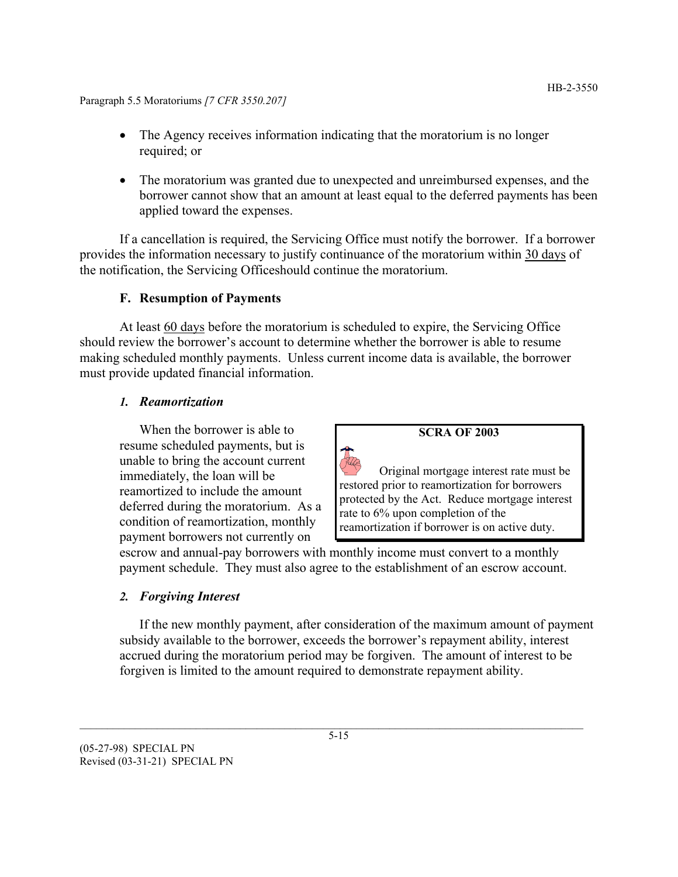- The Agency receives information indicating that the moratorium is no longer required; or
- The moratorium was granted due to unexpected and unreimbursed expenses, and the borrower cannot show that an amount at least equal to the deferred payments has been applied toward the expenses.

If a cancellation is required, the Servicing Office must notify the borrower. If a borrower provides the information necessary to justify continuance of the moratorium within 30 days of the notification, the Servicing Officeshould continue the moratorium.

## **F. Resumption of Payments**

At least 60 days before the moratorium is scheduled to expire, the Servicing Office should review the borrower's account to determine whether the borrower is able to resume making scheduled monthly payments. Unless current income data is available, the borrower must provide updated financial information.

## *1. Reamortization*

When the borrower is able to resume scheduled payments, but is unable to bring the account current immediately, the loan will be reamortized to include the amount deferred during the moratorium. As a condition of reamortization, monthly payment borrowers not currently on

**SCRA OF 2003**

Original mortgage interest rate must be restored prior to reamortization for borrowers protected by the Act. Reduce mortgage interest rate to 6% upon completion of the reamortization if borrower is on active duty.

escrow and annual-pay borrowers with monthly income must convert to a monthly payment schedule. They must also agree to the establishment of an escrow account.

## *2. Forgiving Interest*

If the new monthly payment, after consideration of the maximum amount of payment subsidy available to the borrower, exceeds the borrower's repayment ability, interest accrued during the moratorium period may be forgiven. The amount of interest to be forgiven is limited to the amount required to demonstrate repayment ability.